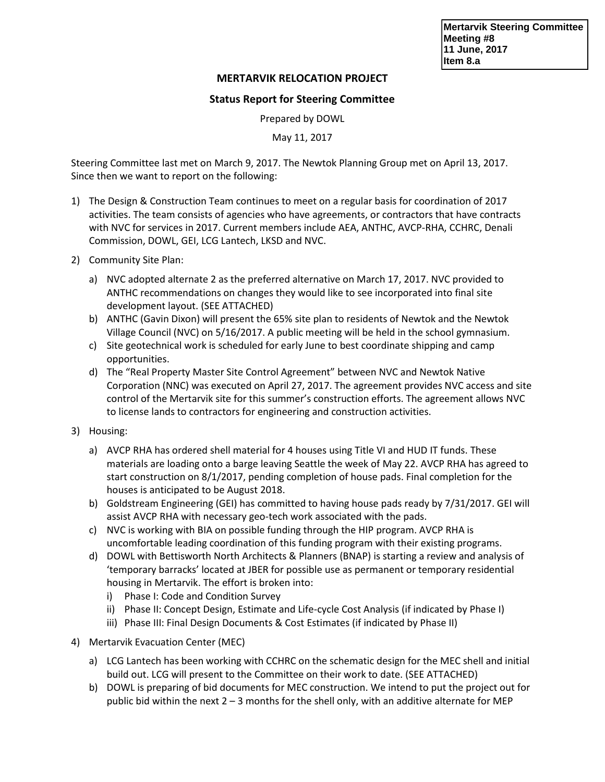**Mertarvik Steering Committee Meeting #8 11 June, 2017 Item 8.a**

## **MERTARVIK RELOCATION PROJECT**

## **Status Report for Steering Committee**

Prepared by DOWL

May 11, 2017

Steering Committee last met on March 9, 2017. The Newtok Planning Group met on April 13, 2017. Since then we want to report on the following:

- 1) The Design & Construction Team continues to meet on a regular basis for coordination of 2017 activities. The team consists of agencies who have agreements, or contractors that have contracts with NVC for services in 2017. Current members include AEA, ANTHC, AVCP-RHA, CCHRC, Denali Commission, DOWL, GEI, LCG Lantech, LKSD and NVC.
- 2) Community Site Plan:
	- a) NVC adopted alternate 2 as the preferred alternative on March 17, 2017. NVC provided to ANTHC recommendations on changes they would like to see incorporated into final site development layout. (SEE ATTACHED)
	- b) ANTHC (Gavin Dixon) will present the 65% site plan to residents of Newtok and the Newtok Village Council (NVC) on 5/16/2017. A public meeting will be held in the school gymnasium.
	- c) Site geotechnical work is scheduled for early June to best coordinate shipping and camp opportunities.
	- d) The "Real Property Master Site Control Agreement" between NVC and Newtok Native Corporation (NNC) was executed on April 27, 2017. The agreement provides NVC access and site control of the Mertarvik site for this summer's construction efforts. The agreement allows NVC to license lands to contractors for engineering and construction activities.
- 3) Housing:
	- a) AVCP RHA has ordered shell material for 4 houses using Title VI and HUD IT funds. These materials are loading onto a barge leaving Seattle the week of May 22. AVCP RHA has agreed to start construction on 8/1/2017, pending completion of house pads. Final completion for the houses is anticipated to be August 2018.
	- b) Goldstream Engineering (GEI) has committed to having house pads ready by 7/31/2017. GEI will assist AVCP RHA with necessary geo-tech work associated with the pads.
	- c) NVC is working with BIA on possible funding through the HIP program. AVCP RHA is uncomfortable leading coordination of this funding program with their existing programs.
	- d) DOWL with Bettisworth North Architects & Planners (BNAP) is starting a review and analysis of 'temporary barracks' located at JBER for possible use as permanent or temporary residential housing in Mertarvik. The effort is broken into:
		- i) Phase I: Code and Condition Survey
		- ii) Phase II: Concept Design, Estimate and Life-cycle Cost Analysis (if indicated by Phase I)
		- iii) Phase III: Final Design Documents & Cost Estimates (if indicated by Phase II)
- 4) Mertarvik Evacuation Center (MEC)
	- a) LCG Lantech has been working with CCHRC on the schematic design for the MEC shell and initial build out. LCG will present to the Committee on their work to date. (SEE ATTACHED)
	- b) DOWL is preparing of bid documents for MEC construction. We intend to put the project out for public bid within the next  $2 - 3$  months for the shell only, with an additive alternate for MEP